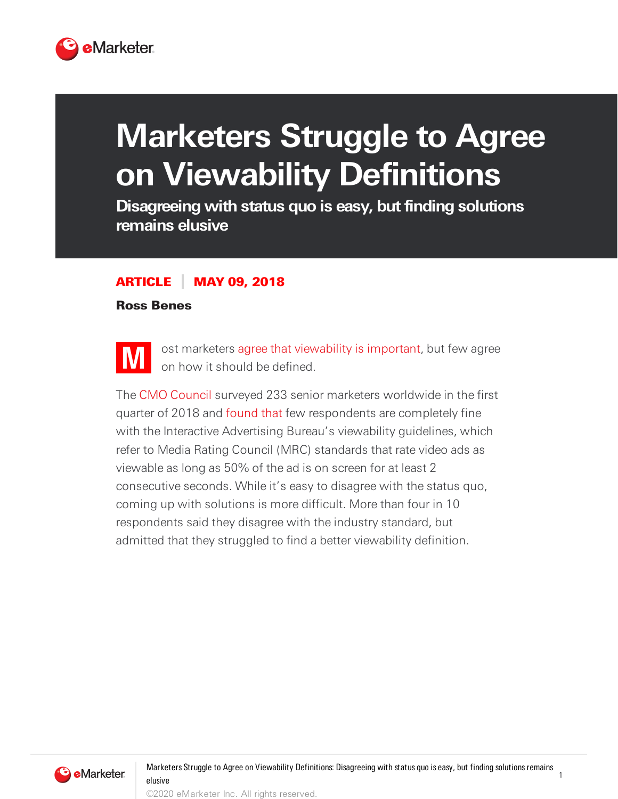

## **Marketers Struggle to Agree on Viewability Definitions**

**Disagreeing with status quo is easy, butfinding solutions remains elusive**

## ARTICLE MAY 09, 2018

## Ross Benes



ost marketers agree that [viewability](https://www.emarketer.com/content/half-of-ad-industry-professionals-want-stricter-viewability-standards) is important, but few agree on how it should be defined.

The CMO [Council](https://www.cmocouncil.org/) surveyed 233 senior marketers worldwide in the first quarter of 2018 and [found](https://www.cmocouncil.org/thought-leadership/reports/engage-at-every-stage-an-investigation-of-video-activation) that few respondents are completely fine with the Interactive Advertising Bureau's viewability guidelines, which refer to Media Rating Council (MRC) standards that rate video ads as viewable as long as 50% of the ad is on screen for at least 2 consecutive seconds. While it's easy to disagree with the status quo, coming up with solutions is more difficult. More than four in 10 respondents said they disagree with the industry standard, but admitted that they struggled to find a better viewability definition.



1

©2020 eMarketer Inc. All rights reserved.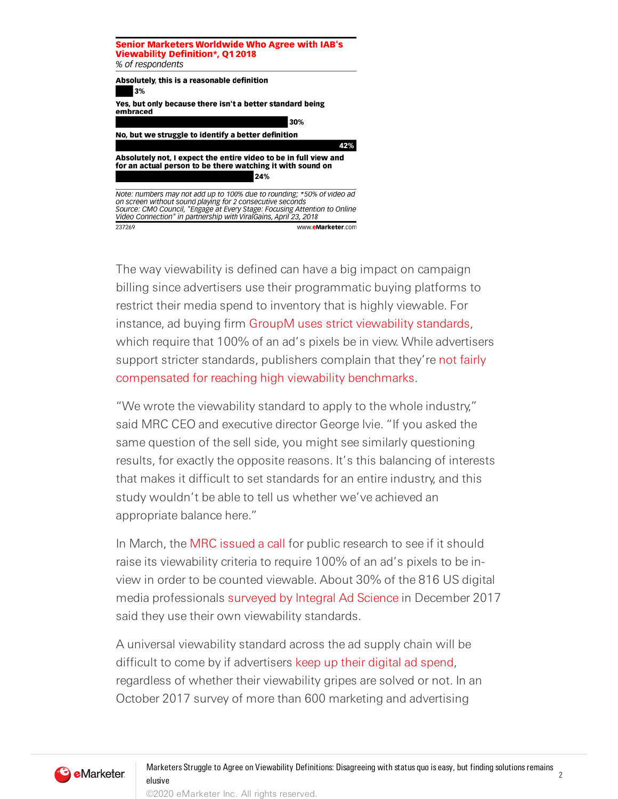

The way viewability is defined can have a big impact on campaign billing since advertisers use their programmatic buying platforms to restrict their media spend to inventory that is highly viewable. For instance, ad buying firm GroupM uses strict [viewability](https://www.emarketer.com/content/half-of-ad-industry-professionals-want-stricter-viewability-standards) standards, which require that 100% of an ad's pixels be in view. While advertisers support stricter standards, publishers complain that they're not fairly [compensated](https://digiday.com/media/hitting-viewability-thresholds-pubs-underwhelmed-payoff/) for reaching high viewability benchmarks.

"We wrote the viewability standard to apply to the whole industry," said MRC CEO and executive director George Ivie. "If you asked the same question of the sell side, you might see similarly questioning results, for exactly the opposite reasons. It's this balancing of interests that makes it difficult to set standards for an entire industry, and this study wouldn't be able to tell us whether we've achieved an appropriate balance here."

In March, the MRC [issued](http://mediaratingcouncil.org/MRC%20Issues%20Call%20for%20Research%20on%20Duration%20Weighting%20In%20Cross-Media%20Video%20Measurement_Final.pdf) a call for public research to see if it should raise its viewability criteria to require 100% of an ad's pixels to be inview in order to be counted viewable. About 30% of the 816 US digital media professionals [surveyed](https://integralads.com/look-ahead/) by Integral Ad Science in December 2017 said they use their own viewability standards.

A universal viewability standard across the ad supply chain will be difficult to come by if advertisers keep up their digital ad [spend,](https://www.emarketer.com/content/half-of-advertisers-say-ad-spend-wont-drop) regardless of whether their viewability gripes are solved or not. In an October 2017 survey of more than 600 marketing and advertising



2